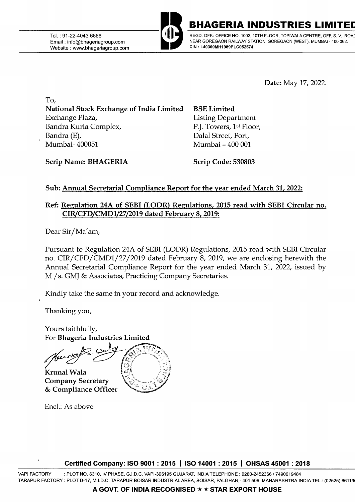Tel.: 91-22-4043 6666 Email : info@bhageriagroup.com Website : www.bhageriagroup.com



BHAGERIA INDUSTRIES L

REGD. OFF.: OFFICE NO. 1002, 10TH FLOOR, TOPIWALA CENTRE, OFF. S. V. ROA NEAR GOREGAON RAILWAY STATION, GOREGAON (WEST), MUMBAI - 400 062. **CIN: L40300MH1989PLC052574** 

**Date:** May 17, 2022.

**To, National Stock Exchange of India Limited**  Exchange Plaza, Bandra Kurla Complex, Bandra (E), Mumbai- 400051

**BSE Limited**  Listing Department P.J. Towers, 1st Floor, Dalal Street, Fort, Mumbai - 400 001

**Scrip Name: BHAGERIA** 

**Scrip Code: 530803** 

## **Sub: Annual Secretarial Compliance Report for the year ended March 31, 2022:**

## **Ref: Regulation 24A of SEBI (LODR) Regulations, 2015 read with SEBI Circular no. CIR/CFD/CMDl/27/2019 dated February 8, 2019:**

Dear Sir/Ma'am,

Pursuant to Regulation 24A of SEBI (LODR) Regulations, 2015 read with SEBI Circular no. CIR/CFD/CMDl/27 /2019 dated February 8, 2019, we are enclosing herewith the Annual Secretarial Compliance Report for the year ended March 31, 2022, issued by M / s. GMJ & Associates, Practicing Company Secretaries.

Kindly take the same in your record and acknowledge.

Thanking you,

Yours faithfully, For Bhageria Industries Limited

Krunal Wala **Company Secretary** & Compliance Officer

Encl.: As above



**Certified Company: ISO 9001** : **2015** I **ISO 14001** : **2015** I **OHSAS 45001** : **2018** 

VAPI FACTORY : PLOT NO. 6310, IV PHASE, G.I.D.C. VAPl-396195 GUJARAT, INDIA TELEPHONE: 0260-2452366 / 7490019484 TARAPUR FACTORY: PLOT D-17, M.I.D.C. TARAPUR BOISAR INDUSTRIAL AREA, BOISAR, PALGHAR- 401 506. MAHARASHTRA.INDIA TEL.: (02525) 66119(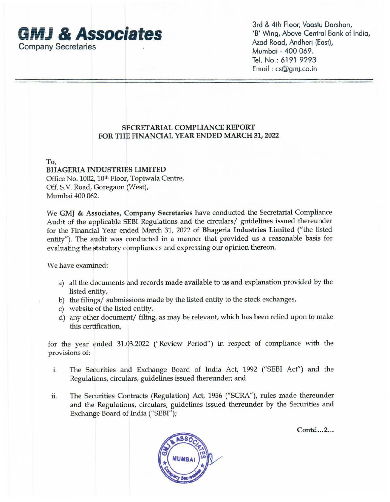

3rd & 4th Floor, Vaastu Darshan, 'B' Wing, Above Central Bank of India, Azad Road, Andheri (East), Mumbai - 400 069. Tel. No.: 6191 9293 Email : cs@gmJ.co.in

## **SECRETARIAL COMPLIANCE REPORT FOR THE FINANCIAL YEAR ENDED MARCH 31, 2022**

**To,** 

**BHAGERIA INDUSTRIES LIMITED**  Office No. 1002, 10<sup>th</sup> Floor, Topiwala Centre, Off. S.V. Road, Goregaon (West), Mumbai 400 062.

We **GMJ** & **Associates, Company Secretaries** have conducted the Secretarial Compliance Audit of the applicable SEBI Regulations and the circulars/ guidelines issued thereunder for the Financial Year ended March 31, 2022 of **Bhageria Industries Limited** ("the listed entity"). The audit was conducted in a manner that provided us a reasonable basis for evaluating the statutory compliances and expressing our opinion thereon.

We have examined:

- a) all the documents and records made available to us and explanation provided by the listed entity,
- b) the filings/ submissions made by the listed entity to the stock exchanges,
- c) website of the listed entity,
- d) any other document/ filing, as may be relevant, which has been relied upon to make this certification,

for the year ended 31.03.2022 ("Review Period") in respect of compliance with the provisions of:

- i. The Securities and Exchange Board of India Act, 1992 ("SEBI Act") and the Regulations, circulars, guidelines issued thereunder; and
- ii. The Securities Contracts (Regulation) Act, 1956 ("SCRA"), rules made thereunder and the Regulations, circulars, guidelines issued thereunder by the Securities and Exchange Board of India ("SEBI");



**Contd ... 2 ...**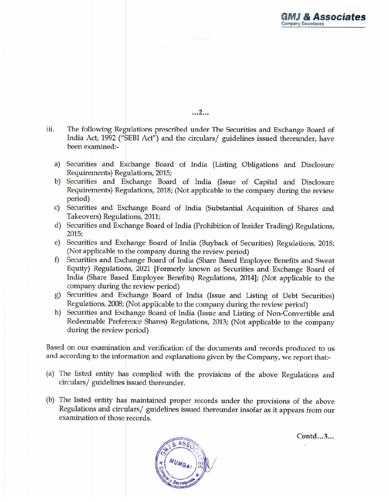~ftiJ *&* **Associates**  Company Secretaries

**... 2 ...** 

- iii. The following Regulations prescribed under The Securities and Exchange Board of India Act, 1992 ("SEBI Act") and the circulars/ guidelines issued thereunder, have been examined:
	- a) Securities and Exchange Board of India (Listing Obligations and Disclosure Requirements) Regulations, 2015;
	- b) Securities and Exchange Board of India (Issue of Capital and Disclosure Requirements) Regulations, 2018; (Not applicable to the company during the review period)
	- c) Securities and Exchange Board of India (Substantial Acquisition of Shares and Takeovers) Regulations, 2011;
	- d) Securities and Exchange Board of India (Prohibition of Insider Trading) Regulations, 2015;
	- e) Securities and Exchange Board of India (Buyback of Securities) Regulations, 2018; (Not applicable to the company during the review period)
	- f) Securities and Exchange Board of India (Share Based Employee Benefits and Sweat Equity) Regulations, 2021 [Formerly known as Securities and Exchange Board of India (Share Based Employee Benefits) Regulations, 2014]; (Not applicable to the company during the review period)
	- g) Securities and Exchange Board of India (Issue and Listing of Debt Securities) Regulations, 2008; (Not applicable to the company during the review period)
	- h) Securities and Exchange Board of India (Issue and Listing of Non-Convertible and Redeemable Preference Shares) Regulations, 2013; (Not applicable to the company during the review period)

Based on our examination and verification of the documents and records produced to us and according to the information and explanations given by the Company, we report that:-

- (a) The listed entity has complied with the provisions of the above Regulations and circulars/ guidelines issued thereunder.
- (b) The listed entity has maintained proper records under the provisions of the above Regulations and circulars/ guidelines issued thereunder insofar as it appears from our examination of those records.



**Contd ... 3 ...**